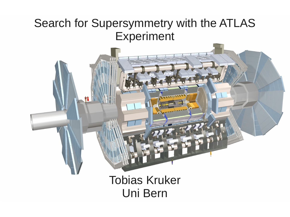#### Search for Supersymmetry with the ATLAS Experiment

Tobias Kruker Uni Bern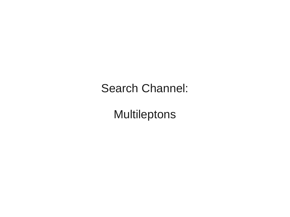#### Search Channel:

### Multileptons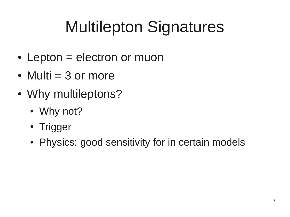# Multilepton Signatures

- Lepton  $=$  electron or muon
- Multi  $=$  3 or more
- Why multileptons?
	- Why not?
	- Trigger
	- Physics: good sensitivity for in certain models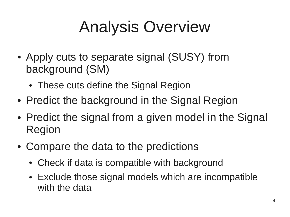# Analysis Overview

- Apply cuts to separate signal (SUSY) from background (SM)
	- These cuts define the Signal Region
- Predict the background in the Signal Region
- Predict the signal from a given model in the Signal Region
- Compare the data to the predictions
	- Check if data is compatible with background
	- Exclude those signal models which are incompatible with the data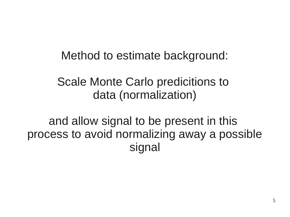Method to estimate background:

Scale Monte Carlo predicitions to data (normalization)

and allow signal to be present in this process to avoid normalizing away a possible signal